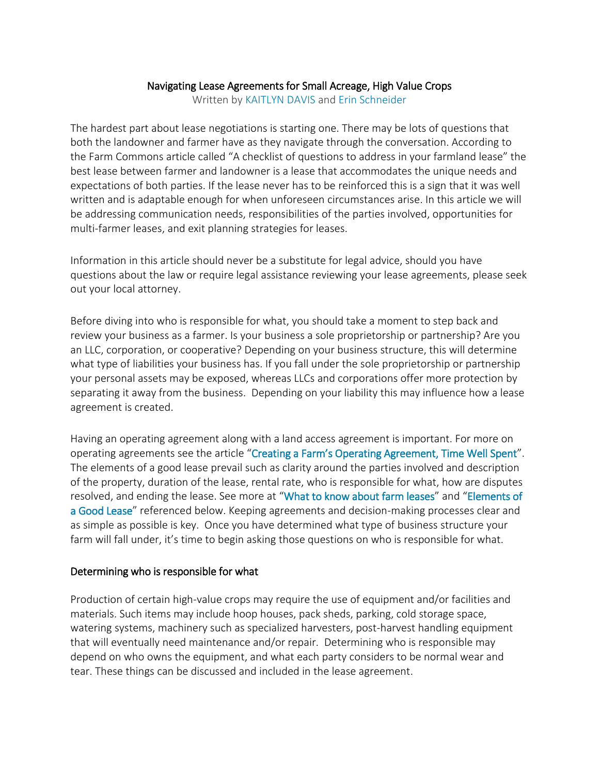#### Navigating Lease Agreements for Small Acreage, High Value Crops

Written by [KAITLYN DAVIS](https://farms.extension.wisc.edu/author/kdavis38/) and [Erin Schneider](https://farms.extension.wisc.edu/author/erin-schneider/)

The hardest part about lease negotiations is starting one. There may be lots of questions that both the landowner and farmer have as they navigate through the conversation. According to the Farm Commons article called "A checklist of questions to address in your farmland lease" the best lease between farmer and landowner is a lease that accommodates the unique needs and expectations of both parties. If the lease never has to be reinforced this is a sign that it was well written and is adaptable enough for when unforeseen circumstances arise. In this article we will be addressing communication needs, responsibilities of the parties involved, opportunities for multi-farmer leases, and exit planning strategies for leases.

Information in this article should never be a substitute for legal advice, should you have questions about the law or require legal assistance reviewing your lease agreements, please seek out your local attorney.

Before diving into who is responsible for what, you should take a moment to step back and review your business as a farmer. Is your business a sole proprietorship or partnership? Are you an LLC, corporation, or cooperative? Depending on your business structure, this will determine what type of liabilities your business has. If you fall under the sole proprietorship or partnership your personal assets may be exposed, whereas LLCs and corporations offer more protection by separating it away from the business. Depending on your liability this may influence how a lease agreement is created.

Having an operating agreement along with a land access agreement is important. For more on operating agreements see the article ["Creating a Farm's Operating Agreement, Time Well Spent"](https://farms.extension.wisc.edu/articles/creating-a-farms-operating-agreement-time-well-spent/). The elements of a good lease prevail such as clarity around the parties involved and description of the property, duration of the lease, rental rate, who is responsible for what, how are disputes resolved, and ending the lease. See more at "[What to know about farm leases](https://farms.extension.wisc.edu/articles/what-you-should-know-about-farm-leases/)" and "[Elements of](https://landforgood.org/wp-content/uploads/LFG-Elements-of-a-Good-Farm-Lease.pdf)  [a Good Lease](https://landforgood.org/wp-content/uploads/LFG-Elements-of-a-Good-Farm-Lease.pdf)" referenced below. Keeping agreements and decision-making processes clear and as simple as possible is key. Once you have determined what type of business structure your farm will fall under, it's time to begin asking those questions on who is responsible for what.

#### Determining who is responsible for what

Production of certain high-value crops may require the use of equipment and/or facilities and materials. Such items may include hoop houses, pack sheds, parking, cold storage space, watering systems, machinery such as specialized harvesters, post-harvest handling equipment that will eventually need maintenance and/or repair. Determining who is responsible may depend on who owns the equipment, and what each party considers to be normal wear and tear. These things can be discussed and included in the lease agreement.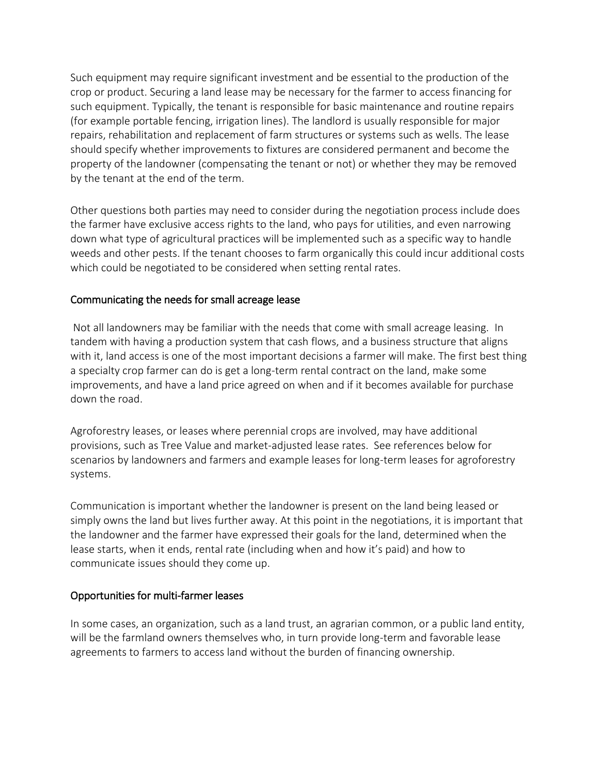Such equipment may require significant investment and be essential to the production of the crop or product. Securing a land lease may be necessary for the farmer to access financing for such equipment. Typically, the tenant is responsible for basic maintenance and routine repairs (for example portable fencing, irrigation lines). The landlord is usually responsible for major repairs, rehabilitation and replacement of farm structures or systems such as wells. The lease should specify whether improvements to fixtures are considered permanent and become the property of the landowner (compensating the tenant or not) or whether they may be removed by the tenant at the end of the term.

Other questions both parties may need to consider during the negotiation process include does the farmer have exclusive access rights to the land, who pays for utilities, and even narrowing down what type of agricultural practices will be implemented such as a specific way to handle weeds and other pests. If the tenant chooses to farm organically this could incur additional costs which could be negotiated to be considered when setting rental rates.

### Communicating the needs for small acreage lease

 Not all landowners may be familiar with the needs that come with small acreage leasing. In tandem with having a production system that cash flows, and a business structure that aligns with it, land access is one of the most important decisions a farmer will make. The first best thing a specialty crop farmer can do is get a long-term rental contract on the land, make some improvements, and have a land price agreed on when and if it becomes available for purchase down the road.

Agroforestry leases, or leases where perennial crops are involved, may have additional provisions, such as Tree Value and market-adjusted lease rates. See references below for scenarios by landowners and farmers and example leases for long-term leases for agroforestry systems.

Communication is important whether the landowner is present on the land being leased or simply owns the land but lives further away. At this point in the negotiations, it is important that the landowner and the farmer have expressed their goals for the land, determined when the lease starts, when it ends, rental rate (including when and how it's paid) and how to communicate issues should they come up.

### Opportunities for multi-farmer leases

In some cases, an organization, such as a land trust, an agrarian common, or a public land entity, will be the farmland owners themselves who, in turn provide long-term and favorable lease agreements to farmers to access land without the burden of financing ownership.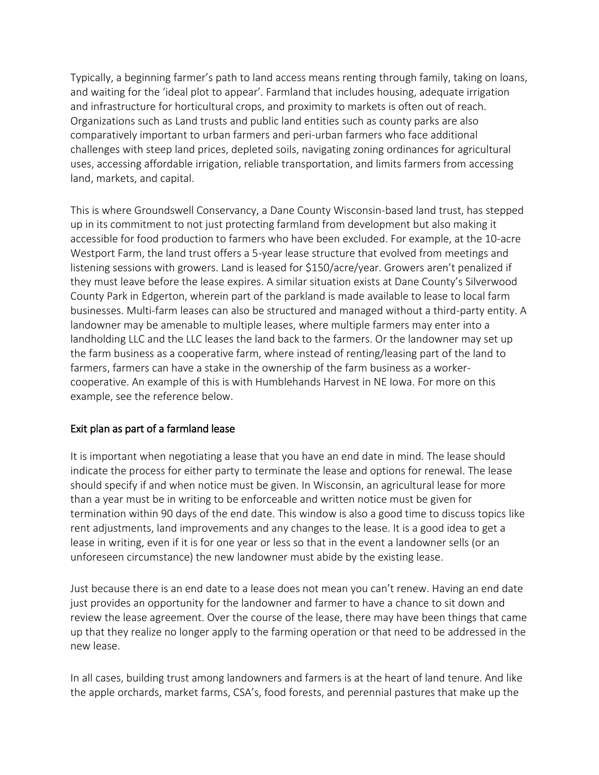Typically, a beginning farmer's path to land access means renting through family, taking on loans, and waiting for the 'ideal plot to appear'. Farmland that includes housing, adequate irrigation and infrastructure for horticultural crops, and proximity to markets is often out of reach. Organizations such as Land trusts and public land entities such as county parks are also comparatively important to urban farmers and peri-urban farmers who face additional challenges with steep land prices, depleted soils, navigating zoning ordinances for agricultural uses, accessing affordable irrigation, reliable transportation, and limits farmers from accessing land, markets, and capital.

This is where Groundswell Conservancy, a Dane County Wisconsin-based land trust, has stepped up in its commitment to not just protecting farmland from development but also making it accessible for food production to farmers who have been excluded. For example, at the 10-acre Westport Farm, the land trust offers a 5-year lease structure that evolved from meetings and listening sessions with growers. Land is leased for \$150/acre/year. Growers aren't penalized if they must leave before the lease expires. A similar situation exists at Dane County's Silverwood County Park in Edgerton, wherein part of the parkland is made available to lease to local farm businesses. Multi-farm leases can also be structured and managed without a third-party entity. A landowner may be amenable to multiple leases, where multiple farmers may enter into a landholding LLC and the LLC leases the land back to the farmers. Or the landowner may set up the farm business as a cooperative farm, where instead of renting/leasing part of the land to farmers, farmers can have a stake in the ownership of the farm business as a workercooperative. An example of this is with Humblehands Harvest in NE Iowa. For more on this example, see the reference below.

### Exit plan as part of a farmland lease

It is important when negotiating a lease that you have an end date in mind. The lease should indicate the process for either party to terminate the lease and options for renewal. The lease should specify if and when notice must be given. In Wisconsin, an agricultural lease for more than a year must be in writing to be enforceable and written notice must be given for termination within 90 days of the end date. This window is also a good time to discuss topics like rent adjustments, land improvements and any changes to the lease. It is a good idea to get a lease in writing, even if it is for one year or less so that in the event a landowner sells (or an unforeseen circumstance) the new landowner must abide by the existing lease.

Just because there is an end date to a lease does not mean you can't renew. Having an end date just provides an opportunity for the landowner and farmer to have a chance to sit down and review the lease agreement. Over the course of the lease, there may have been things that came up that they realize no longer apply to the farming operation or that need to be addressed in the new lease.

In all cases, building trust among landowners and farmers is at the heart of land tenure. And like the apple orchards, market farms, CSA's, food forests, and perennial pastures that make up the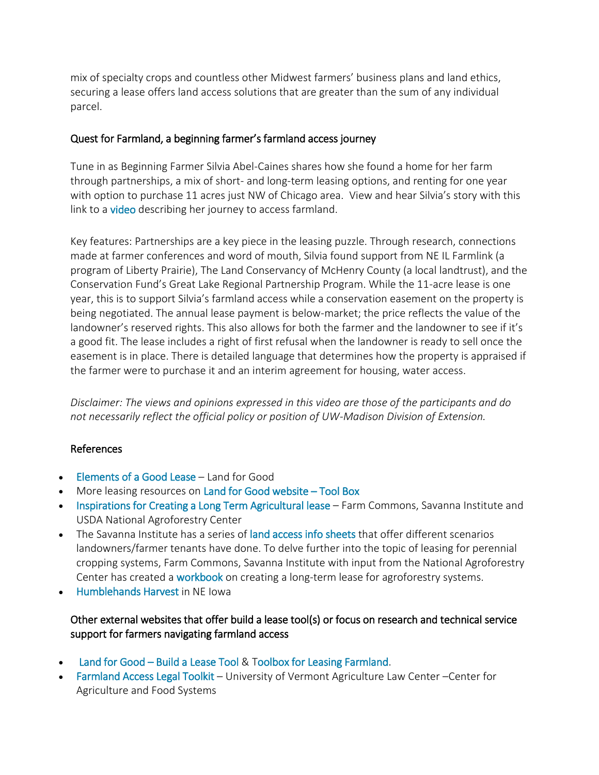mix of specialty crops and countless other Midwest farmers' business plans and land ethics, securing a lease offers land access solutions that are greater than the sum of any individual parcel.

### Quest for Farmland, a beginning farmer's farmland access journey

Tune in as Beginning Farmer Silvia Abel-Caines shares how she found a home for her farm through partnerships, a mix of short- and long-term leasing options, and renting for one year with option to purchase 11 acres just NW of Chicago area. View and hear Silvia's story with this link to a [video](https://www.youtube.com/watch?v=y2maX4r-kSs) describing her journey to access farmland.

Key features: Partnerships are a key piece in the leasing puzzle. Through research, connections made at farmer conferences and word of mouth, Silvia found support from NE IL Farmlink (a program of Liberty Prairie), The Land Conservancy of McHenry County (a local landtrust), and the Conservation Fund's Great Lake Regional Partnership Program. While the 11-acre lease is one year, this is to support Silvia's farmland access while a conservation easement on the property is being negotiated. The annual lease payment is below-market; the price reflects the value of the landowner's reserved rights. This also allows for both the farmer and the landowner to see if it's a good fit. The lease includes a right of first refusal when the landowner is ready to sell once the easement is in place. There is detailed language that determines how the property is appraised if the farmer were to purchase it and an interim agreement for housing, water access.

*Disclaimer: The views and opinions expressed in this video are those of the participants and do not necessarily reflect the official policy or position of UW-Madison Division of Extension.*

### References

- [Elements of a Good Lease](https://landforgood.org/wp-content/uploads/LFG-Elements-of-a-Good-Farm-Lease.pdf) Land for Good
- More leasing resources on [Land for Good website](https://landforgood.org/resources/toolbox/leasing-3/)  Tool Box
- [Inspirations for Creating a Long Term Agricultural lease](https://www.fs.usda.gov/nac/assets/documents/morepublications/longterm-lease-workbookbook.pdf) Farm Commons, Savanna Institute and USDA National Agroforestry Center
- The Savanna Institute has a series of [land access info sheets](https://www.savannainstitute.org/land-access-spotlights/) that offer different scenarios landowners/farmer tenants have done. To delve further into the topic of leasing for perennial cropping systems, Farm Commons, Savanna Institute with input from the National Agroforestry Center has created a [workbook](https://www.fs.usda.gov/nac/assets/documents/morepublications/longterm-lease-workbookbook.pdf) on creating a long-term lease for agroforestry systems.
- **[Humblehands Harvest i](https://humblehandsharvest.com/our-co-operative/)n NE lowa**

# Other external websites that offer build a lease tool(s) or focus on research and technical service support for farmers navigating farmland access

- Land for Good – [Build a Lease Tool](https://landforgood.org/lease-tool-login/) & [Toolbox for Leasing Farmland.](https://landforgood.org/resources/toolbox/leasing-3/)
- [Farmland Access Legal Toolkit](https://www.vermontlaw.edu/academics/centers-and-programs/center-for-agriculture-and-food-systems/projects/farmland-access-legal) University of Vermont Agriculture Law Center –Center for Agriculture and Food Systems